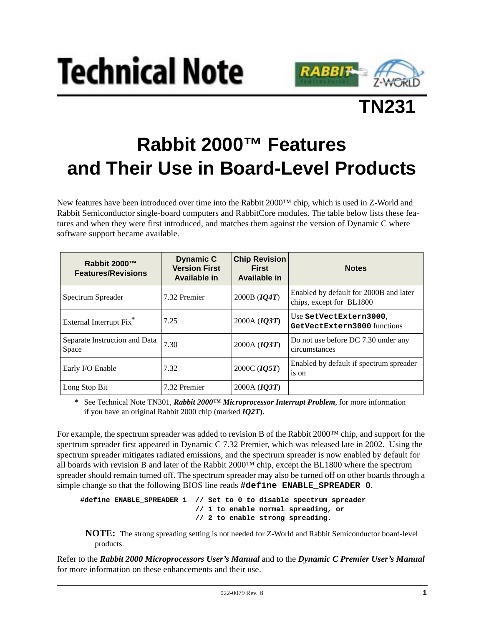





## **Rabbit 2000™ Features and Their Use in Board-Level Products**

New features have been introduced over time into the Rabbit 2000™ chip, which is used in Z-World and Rabbit Semiconductor single-board computers and RabbitCore modules. The table below lists these features and when they were first introduced, and matches them against the version of Dynamic C where software support became available.

| Rabbit 2000™<br><b>Features/Revisions</b> | <b>Dynamic C</b><br><b>Version First</b><br>Available in | <b>Chip Revision</b><br><b>First</b><br><b>Available in</b> | <b>Notes</b>                                                       |
|-------------------------------------------|----------------------------------------------------------|-------------------------------------------------------------|--------------------------------------------------------------------|
| Spectrum Spreader                         | 7.32 Premier                                             | 2000B ( <i>IQ4T</i> )                                       | Enabled by default for 2000B and later<br>chips, except for BL1800 |
| External Interrupt Fix <sup>*</sup>       | 7.25                                                     | 2000A $(IQ3T)$                                              | Use SetVectExtern3000.<br>GetVectExtern3000 functions              |
| Separate Instruction and Data<br>Space    | 7.30                                                     | 2000A ( $IQ3T$ )                                            | Do not use before DC 7.30 under any<br>circumstances               |
| Early I/O Enable                          | 7.32                                                     | 2000C ( <i>IQ5T</i> )                                       | Enabled by default if spectrum spreader<br>is on                   |
| Long Stop Bit                             | 7.32 Premier                                             | 2000A $(IQ3T)$                                              |                                                                    |

\* See Technical Note TN301, *Rabbit 2000™ Microprocessor Interrupt Problem*, for more information if you have an original Rabbit 2000 chip (marked *IQ2T*).

For example, the spectrum spreader was added to revision B of the Rabbit 2000™ chip, and support for the spectrum spreader first appeared in Dynamic C 7.32 Premier, which was released late in 2002. Using the spectrum spreader mitigates radiated emissions, and the spectrum spreader is now enabled by default for all boards with revision B and later of the Rabbit 2000™ chip, except the BL1800 where the spectrum spreader should remain turned off. The spectrum spreader may also be turned off on other boards through a simple change so that the following BIOS line reads **#define ENABLE\_SPREADER 0**.

**#define ENABLE\_SPREADER 1 // Set to 0 to disable spectrum spreader // 1 to enable normal spreading, or // 2 to enable strong spreading.**

**NOTE:** The strong spreading setting is not needed for Z-World and Rabbit Semiconductor board-level products.

Refer to the *Rabbit 2000 Microprocessors User's Manual* and to the *Dynamic C Premier User's Manual* for more information on these enhancements and their use.